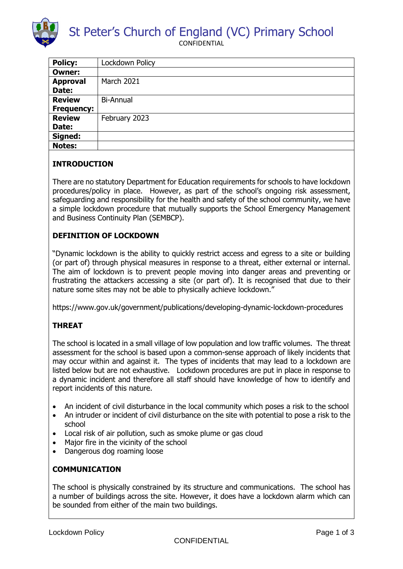

St Peter's Church of England (VC) Primary School

CONFIDENTIAL

| <b>Policy:</b>    | Lockdown Policy   |
|-------------------|-------------------|
| <b>Owner:</b>     |                   |
| <b>Approval</b>   | <b>March 2021</b> |
| Date:             |                   |
| <b>Review</b>     | <b>Bi-Annual</b>  |
| <b>Frequency:</b> |                   |
| <b>Review</b>     | February 2023     |
| Date:             |                   |
| Signed:           |                   |
| <b>Notes:</b>     |                   |

# **INTRODUCTION**

There are no statutory Department for Education requirements for schools to have lockdown procedures/policy in place. However, as part of the school's ongoing risk assessment, safeguarding and responsibility for the health and safety of the school community, we have a simple lockdown procedure that mutually supports the School Emergency Management and Business Continuity Plan (SEMBCP).

## **DEFINITION OF LOCKDOWN**

"Dynamic lockdown is the ability to quickly restrict access and egress to a site or building (or part of) through physical measures in response to a threat, either external or internal. The aim of lockdown is to prevent people moving into danger areas and preventing or frustrating the attackers accessing a site (or part of). It is recognised that due to their nature some sites may not be able to physically achieve lockdown."

https://www.gov.uk/government/publications/developing-dynamic-lockdown-procedures

# **THREAT**

The school is located in a small village of low population and low traffic volumes. The threat assessment for the school is based upon a common-sense approach of likely incidents that may occur within and against it. The types of incidents that may lead to a lockdown are listed below but are not exhaustive. Lockdown procedures are put in place in response to a dynamic incident and therefore all staff should have knowledge of how to identify and report incidents of this nature.

- An incident of civil disturbance in the local community which poses a risk to the school
- An intruder or incident of civil disturbance on the site with potential to pose a risk to the school
- Local risk of air pollution, such as smoke plume or gas cloud
- Major fire in the vicinity of the school
- Dangerous dog roaming loose

#### **COMMUNICATION**

The school is physically constrained by its structure and communications. The school has a number of buildings across the site. However, it does have a lockdown alarm which can be sounded from either of the main two buildings.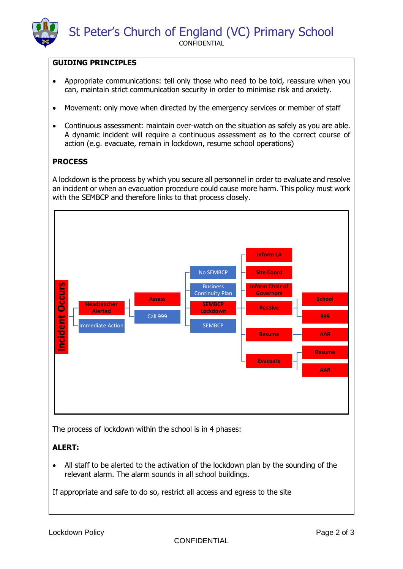### **GUIDING PRINCIPLES**

- Appropriate communications: tell only those who need to be told, reassure when you can, maintain strict communication security in order to minimise risk and anxiety.
- Movement: only move when directed by the emergency services or member of staff
- Continuous assessment: maintain over-watch on the situation as safely as you are able. A dynamic incident will require a continuous assessment as to the correct course of action (e.g. evacuate, remain in lockdown, resume school operations)

# **PROCESS**

A lockdown is the process by which you secure all personnel in order to evaluate and resolve an incident or when an evacuation procedure could cause more harm. This policy must work with the SEMBCP and therefore links to that process closely.



The process of lockdown within the school is in 4 phases:

# **ALERT:**

 All staff to be alerted to the activation of the lockdown plan by the sounding of the relevant alarm. The alarm sounds in all school buildings.